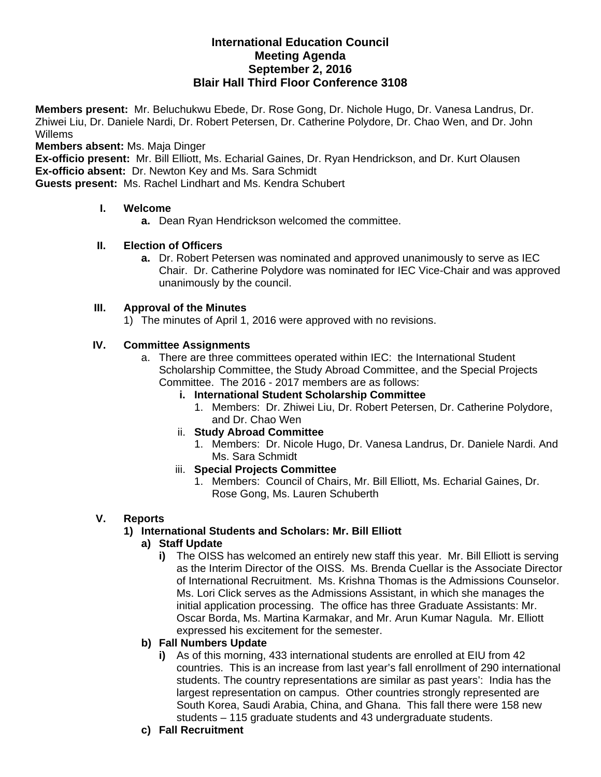#### **International Education Council Meeting Agenda September 2, 2016 Blair Hall Third Floor Conference 3108**

**Members present:** Mr. Beluchukwu Ebede, Dr. Rose Gong, Dr. Nichole Hugo, Dr. Vanesa Landrus, Dr. Zhiwei Liu, Dr. Daniele Nardi, Dr. Robert Petersen, Dr. Catherine Polydore, Dr. Chao Wen, and Dr. John Willems

**Members absent:** Ms. Maja Dinger

**Ex-officio present:** Mr. Bill Elliott, Ms. Echarial Gaines, Dr. Ryan Hendrickson, and Dr. Kurt Olausen **Ex-officio absent:** Dr. Newton Key and Ms. Sara Schmidt

**Guests present:** Ms. Rachel Lindhart and Ms. Kendra Schubert

#### **I. Welcome**

**a.** Dean Ryan Hendrickson welcomed the committee.

#### **II. Election of Officers**

**a.** Dr. Robert Petersen was nominated and approved unanimously to serve as IEC Chair. Dr. Catherine Polydore was nominated for IEC Vice-Chair and was approved unanimously by the council.

#### **III. Approval of the Minutes**

1) The minutes of April 1, 2016 were approved with no revisions.

#### **IV. Committee Assignments**

- a. There are three committees operated within IEC: the International Student Scholarship Committee, the Study Abroad Committee, and the Special Projects Committee. The 2016 - 2017 members are as follows:
	- **i. International Student Scholarship Committee** 
		- 1. Members: Dr. Zhiwei Liu, Dr. Robert Petersen, Dr. Catherine Polydore, and Dr. Chao Wen
	- ii. **Study Abroad Committee**
		- 1. Members: Dr. Nicole Hugo, Dr. Vanesa Landrus, Dr. Daniele Nardi. And Ms. Sara Schmidt

#### iii. **Special Projects Committee**

1. Members: Council of Chairs, Mr. Bill Elliott, Ms. Echarial Gaines, Dr. Rose Gong, Ms. Lauren Schuberth

# **V. Reports**

# **1) International Students and Scholars: Mr. Bill Elliott**

# **a) Staff Update**

**i)** The OISS has welcomed an entirely new staff this year. Mr. Bill Elliott is serving as the Interim Director of the OISS. Ms. Brenda Cuellar is the Associate Director of International Recruitment. Ms. Krishna Thomas is the Admissions Counselor. Ms. Lori Click serves as the Admissions Assistant, in which she manages the initial application processing. The office has three Graduate Assistants: Mr. Oscar Borda, Ms. Martina Karmakar, and Mr. Arun Kumar Nagula. Mr. Elliott expressed his excitement for the semester.

#### **b) Fall Numbers Update**

- **i)** As of this morning, 433 international students are enrolled at EIU from 42 countries. This is an increase from last year's fall enrollment of 290 international students. The country representations are similar as past years': India has the largest representation on campus. Other countries strongly represented are South Korea, Saudi Arabia, China, and Ghana. This fall there were 158 new students – 115 graduate students and 43 undergraduate students.
- **c) Fall Recruitment**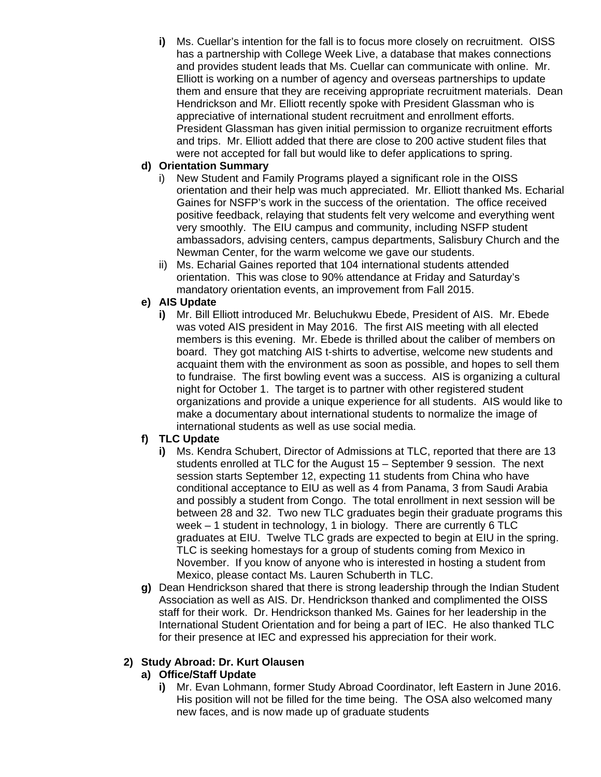**i)** Ms. Cuellar's intention for the fall is to focus more closely on recruitment. OISS has a partnership with College Week Live, a database that makes connections and provides student leads that Ms. Cuellar can communicate with online. Mr. Elliott is working on a number of agency and overseas partnerships to update them and ensure that they are receiving appropriate recruitment materials. Dean Hendrickson and Mr. Elliott recently spoke with President Glassman who is appreciative of international student recruitment and enrollment efforts. President Glassman has given initial permission to organize recruitment efforts and trips. Mr. Elliott added that there are close to 200 active student files that were not accepted for fall but would like to defer applications to spring.

# **d) Orientation Summary**

- i) New Student and Family Programs played a significant role in the OISS orientation and their help was much appreciated. Mr. Elliott thanked Ms. Echarial Gaines for NSFP's work in the success of the orientation. The office received positive feedback, relaying that students felt very welcome and everything went very smoothly. The EIU campus and community, including NSFP student ambassadors, advising centers, campus departments, Salisbury Church and the Newman Center, for the warm welcome we gave our students.
- ii) Ms. Echarial Gaines reported that 104 international students attended orientation. This was close to 90% attendance at Friday and Saturday's mandatory orientation events, an improvement from Fall 2015.
- **e) AIS Update** 
	- **i)** Mr. Bill Elliott introduced Mr. Beluchukwu Ebede, President of AIS. Mr. Ebede was voted AIS president in May 2016. The first AIS meeting with all elected members is this evening. Mr. Ebede is thrilled about the caliber of members on board. They got matching AIS t-shirts to advertise, welcome new students and acquaint them with the environment as soon as possible, and hopes to sell them to fundraise. The first bowling event was a success. AIS is organizing a cultural night for October 1. The target is to partner with other registered student organizations and provide a unique experience for all students. AIS would like to make a documentary about international students to normalize the image of international students as well as use social media.

# **f) TLC Update**

- **i)** Ms. Kendra Schubert, Director of Admissions at TLC, reported that there are 13 students enrolled at TLC for the August 15 – September 9 session. The next session starts September 12, expecting 11 students from China who have conditional acceptance to EIU as well as 4 from Panama, 3 from Saudi Arabia and possibly a student from Congo. The total enrollment in next session will be between 28 and 32. Two new TLC graduates begin their graduate programs this week – 1 student in technology, 1 in biology. There are currently 6 TLC graduates at EIU. Twelve TLC grads are expected to begin at EIU in the spring. TLC is seeking homestays for a group of students coming from Mexico in November. If you know of anyone who is interested in hosting a student from Mexico, please contact Ms. Lauren Schuberth in TLC.
- **g)** Dean Hendrickson shared that there is strong leadership through the Indian Student Association as well as AIS. Dr. Hendrickson thanked and complimented the OISS staff for their work. Dr. Hendrickson thanked Ms. Gaines for her leadership in the International Student Orientation and for being a part of IEC. He also thanked TLC for their presence at IEC and expressed his appreciation for their work.

# **2) Study Abroad: Dr. Kurt Olausen**

# **a) Office/Staff Update**

**i)** Mr. Evan Lohmann, former Study Abroad Coordinator, left Eastern in June 2016. His position will not be filled for the time being. The OSA also welcomed many new faces, and is now made up of graduate students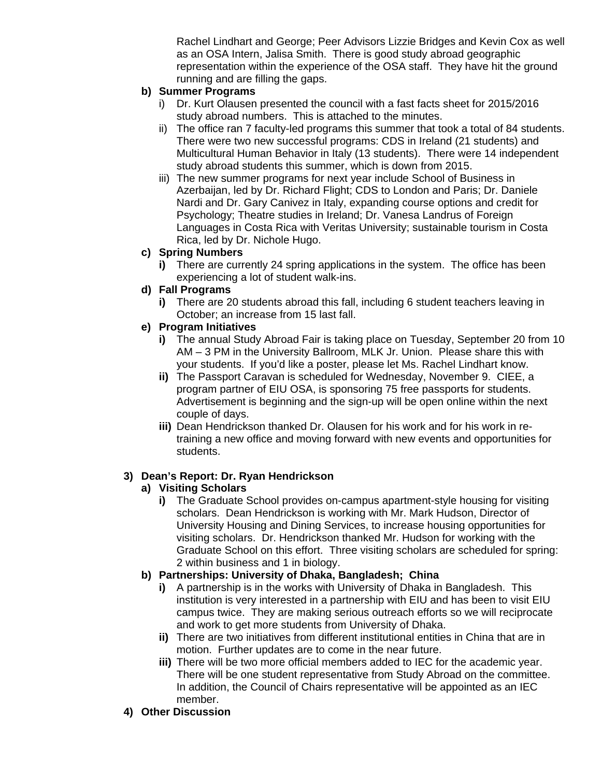Rachel Lindhart and George; Peer Advisors Lizzie Bridges and Kevin Cox as well as an OSA Intern, Jalisa Smith. There is good study abroad geographic representation within the experience of the OSA staff. They have hit the ground running and are filling the gaps.

#### **b) Summer Programs**

- i) Dr. Kurt Olausen presented the council with a fast facts sheet for 2015/2016 study abroad numbers. This is attached to the minutes.
- ii) The office ran 7 faculty-led programs this summer that took a total of 84 students. There were two new successful programs: CDS in Ireland (21 students) and Multicultural Human Behavior in Italy (13 students). There were 14 independent study abroad students this summer, which is down from 2015.
- iii) The new summer programs for next year include School of Business in Azerbaijan, led by Dr. Richard Flight; CDS to London and Paris; Dr. Daniele Nardi and Dr. Gary Canivez in Italy, expanding course options and credit for Psychology; Theatre studies in Ireland; Dr. Vanesa Landrus of Foreign Languages in Costa Rica with Veritas University; sustainable tourism in Costa Rica, led by Dr. Nichole Hugo.

#### **c) Spring Numbers**

**i)** There are currently 24 spring applications in the system. The office has been experiencing a lot of student walk-ins.

#### **d) Fall Programs**

**i)** There are 20 students abroad this fall, including 6 student teachers leaving in October; an increase from 15 last fall.

# **e) Program Initiatives**

- **i)** The annual Study Abroad Fair is taking place on Tuesday, September 20 from 10 AM – 3 PM in the University Ballroom, MLK Jr. Union. Please share this with your students. If you'd like a poster, please let Ms. Rachel Lindhart know.
- **ii)** The Passport Caravan is scheduled for Wednesday, November 9. CIEE, a program partner of EIU OSA, is sponsoring 75 free passports for students. Advertisement is beginning and the sign-up will be open online within the next couple of days.
- **iii)** Dean Hendrickson thanked Dr. Olausen for his work and for his work in retraining a new office and moving forward with new events and opportunities for students.

# **3) Dean's Report: Dr. Ryan Hendrickson**

# **a) Visiting Scholars**

**i)** The Graduate School provides on-campus apartment-style housing for visiting scholars. Dean Hendrickson is working with Mr. Mark Hudson, Director of University Housing and Dining Services, to increase housing opportunities for visiting scholars. Dr. Hendrickson thanked Mr. Hudson for working with the Graduate School on this effort. Three visiting scholars are scheduled for spring: 2 within business and 1 in biology.

# **b) Partnerships: University of Dhaka, Bangladesh; China**

- **i)** A partnership is in the works with University of Dhaka in Bangladesh. This institution is very interested in a partnership with EIU and has been to visit EIU campus twice. They are making serious outreach efforts so we will reciprocate and work to get more students from University of Dhaka.
- **ii)** There are two initiatives from different institutional entities in China that are in motion. Further updates are to come in the near future.
- **iii)** There will be two more official members added to IEC for the academic year. There will be one student representative from Study Abroad on the committee. In addition, the Council of Chairs representative will be appointed as an IEC member.
- **4) Other Discussion**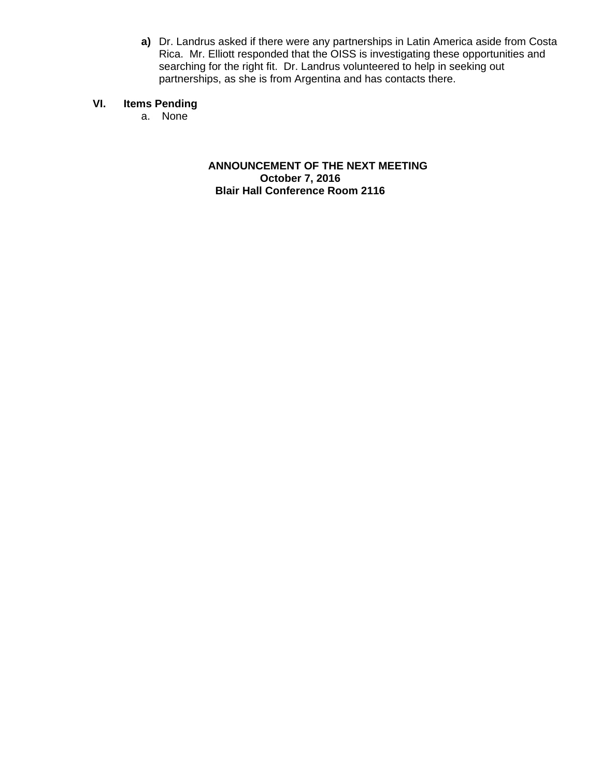**a)** Dr. Landrus asked if there were any partnerships in Latin America aside from Costa Rica. Mr. Elliott responded that the OISS is investigating these opportunities and searching for the right fit. Dr. Landrus volunteered to help in seeking out partnerships, as she is from Argentina and has contacts there.

#### **VI. Items Pending**

a. None

**ANNOUNCEMENT OF THE NEXT MEETING October 7, 2016 Blair Hall Conference Room 2116**